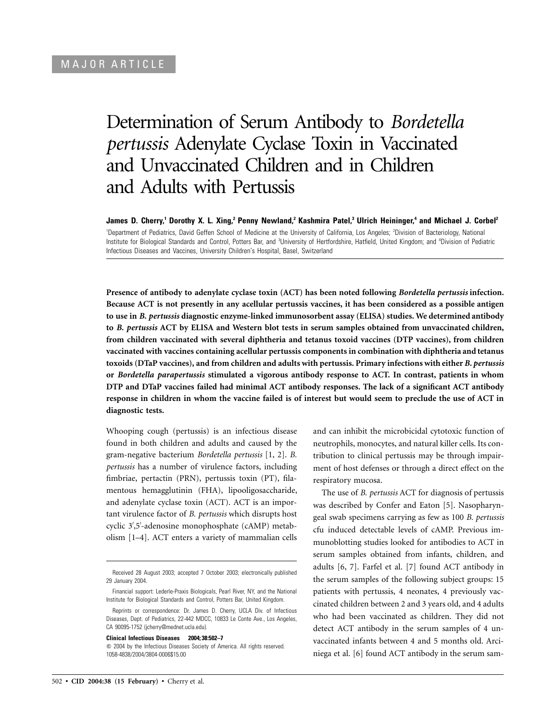# Determination of Serum Antibody to *Bordetella pertussis* Adenylate Cyclase Toxin in Vaccinated and Unvaccinated Children and in Children and Adults with Pertussis

**James D. Cherry,1 Dorothy X. L. Xing,2 Penny Newland,2 Kashmira Patel,3 Ulrich Heininger,4 and Michael J. Corbel2** <sup>1</sup>Department of Pediatrics, David Geffen School of Medicine at the University of California, Los Angeles; <sup>2</sup>Division of Bacteriology, National Institute for Biological Standards and Control, Potters Bar, and <sup>3</sup>University of Hertfordshire, Hatfield, United Kingdom; and <sup>4</sup>Division of Pediatric Infectious Diseases and Vaccines, University Children's Hospital, Basel, Switzerland

**Presence of antibody to adenylate cyclase toxin (ACT) has been noted following** *Bordetella pertussis* **infection. Because ACT is not presently in any acellular pertussis vaccines, it has been considered as a possible antigen to use in** *B. pertussis* **diagnostic enzyme-linked immunosorbent assay (ELISA) studies. We determined antibody to** *B. pertussis* **ACT by ELISA and Western blot tests in serum samples obtained from unvaccinated children, from children vaccinated with several diphtheria and tetanus toxoid vaccines (DTP vaccines), from children vaccinated with vaccines containing acellular pertussis components in combination with diphtheria and tetanus toxoids (DTaP vaccines), and from children and adults with pertussis. Primary infections with either** *B. pertussis* **or** *Bordetella parapertussis* **stimulated a vigorous antibody response to ACT. In contrast, patients in whom DTP and DTaP vaccines failed had minimal ACT antibody responses. The lack of a significant ACT antibody response in children in whom the vaccine failed is of interest but would seem to preclude the use of ACT in diagnostic tests.**

Whooping cough (pertussis) is an infectious disease found in both children and adults and caused by the gram-negative bacterium *Bordetella pertussis* [1, 2]. *B. pertussis* has a number of virulence factors, including fimbriae, pertactin (PRN), pertussis toxin (PT), filamentous hemagglutinin (FHA), lipooligosaccharide, and adenylate cyclase toxin (ACT). ACT is an important virulence factor of *B. pertussis* which disrupts host cyclic 3 ,5 -adenosine monophosphate (cAMP) metabolism [1–4]. ACT enters a variety of mammalian cells

**Clinical Infectious Diseases 2004; 38:502–7**

and can inhibit the microbicidal cytotoxic function of neutrophils, monocytes, and natural killer cells. Its contribution to clinical pertussis may be through impairment of host defenses or through a direct effect on the respiratory mucosa.

The use of *B. pertussis* ACT for diagnosis of pertussis was described by Confer and Eaton [5]. Nasopharyngeal swab specimens carrying as few as 100 *B. pertussis* cfu induced detectable levels of cAMP. Previous immunoblotting studies looked for antibodies to ACT in serum samples obtained from infants, children, and adults [6, 7]. Farfel et al. [7] found ACT antibody in the serum samples of the following subject groups: 15 patients with pertussis, 4 neonates, 4 previously vaccinated children between 2 and 3 years old, and 4 adults who had been vaccinated as children. They did not detect ACT antibody in the serum samples of 4 unvaccinated infants between 4 and 5 months old. Arciniega et al. [6] found ACT antibody in the serum sam-

Received 28 August 2003; accepted 7 October 2003; electronically published 29 January 2004.

Financial support: Lederle-Praxis Biologicals, Pearl River, NY, and the National Institute for Biological Standards and Control, Potters Bar, United Kingdom.

Reprints or correspondence: Dr. James D. Cherry, UCLA Div. of Infectious Diseases, Dept. of Pediatrics, 22-442 MDCC, 10833 Le Conte Ave., Los Angeles, CA 90095-1752 (jcherry@mednet.ucla.edu).

 $\odot$  2004 by the Infectious Diseases Society of America. All rights reserved. 1058-4838/2004/3804-0006\$15.00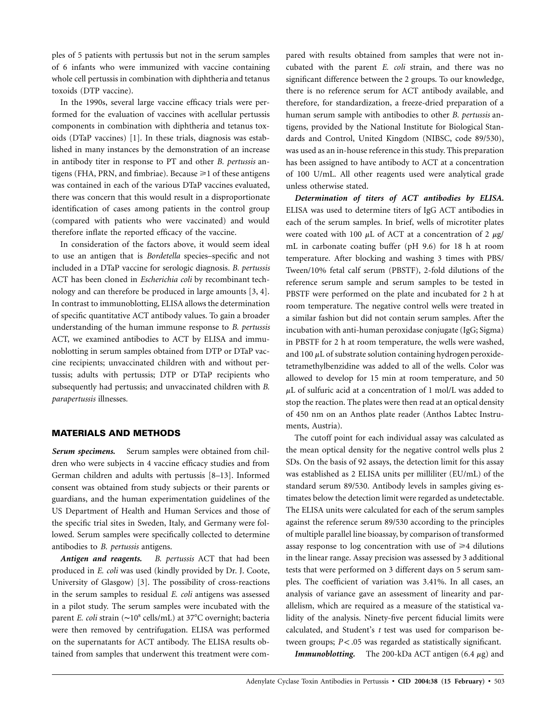ples of 5 patients with pertussis but not in the serum samples of 6 infants who were immunized with vaccine containing whole cell pertussis in combination with diphtheria and tetanus toxoids (DTP vaccine).

In the 1990s, several large vaccine efficacy trials were performed for the evaluation of vaccines with acellular pertussis components in combination with diphtheria and tetanus toxoids (DTaP vaccines) [1]. In these trials, diagnosis was established in many instances by the demonstration of an increase in antibody titer in response to PT and other *B. pertussis* antigens (FHA, PRN, and fimbriae). Because  $\geq 1$  of these antigens was contained in each of the various DTaP vaccines evaluated, there was concern that this would result in a disproportionate identification of cases among patients in the control group (compared with patients who were vaccinated) and would therefore inflate the reported efficacy of the vaccine.

In consideration of the factors above, it would seem ideal to use an antigen that is *Bordetella* species–specific and not included in a DTaP vaccine for serologic diagnosis. *B. pertussis* ACT has been cloned in *Escherichia coli* by recombinant technology and can therefore be produced in large amounts [3, 4]. In contrast to immunoblotting, ELISA allows the determination of specific quantitative ACT antibody values. To gain a broader understanding of the human immune response to *B. pertussis* ACT, we examined antibodies to ACT by ELISA and immunoblotting in serum samples obtained from DTP or DTaP vaccine recipients; unvaccinated children with and without pertussis; adults with pertussis; DTP or DTaP recipients who subsequently had pertussis; and unvaccinated children with *B. parapertussis* illnesses.

#### **MATERIALS AND METHODS**

*Serum specimens.* Serum samples were obtained from children who were subjects in 4 vaccine efficacy studies and from German children and adults with pertussis [8–13]. Informed consent was obtained from study subjects or their parents or guardians, and the human experimentation guidelines of the US Department of Health and Human Services and those of the specific trial sites in Sweden, Italy, and Germany were followed. Serum samples were specifically collected to determine antibodies to *B. pertussis* antigens.

*Antigen and reagents. B. pertussis* ACT that had been produced in *E. coli* was used (kindly provided by Dr. J. Coote, University of Glasgow) [3]. The possibility of cross-reactions in the serum samples to residual *E. coli* antigens was assessed in a pilot study. The serum samples were incubated with the parent *E. coli* strain (∼10<sup>8</sup> cells/mL) at 37<sup>o</sup>C overnight; bacteria were then removed by centrifugation. ELISA was performed on the supernatants for ACT antibody. The ELISA results obtained from samples that underwent this treatment were compared with results obtained from samples that were not incubated with the parent *E. coli* strain, and there was no significant difference between the 2 groups. To our knowledge, there is no reference serum for ACT antibody available, and therefore, for standardization, a freeze-dried preparation of a human serum sample with antibodies to other *B. pertussis* antigens, provided by the National Institute for Biological Standards and Control, United Kingdom (NIBSC, code 89/530), was used as an in-house reference in this study. This preparation has been assigned to have antibody to ACT at a concentration of 100 U/mL. All other reagents used were analytical grade unless otherwise stated.

*Determination of titers of ACT antibodies by ELISA.* ELISA was used to determine titers of IgG ACT antibodies in each of the serum samples. In brief, wells of microtiter plates were coated with 100  $\mu$ L of ACT at a concentration of 2  $\mu$ g/ mL in carbonate coating buffer (pH 9.6) for 18 h at room temperature. After blocking and washing 3 times with PBS/ Tween/10% fetal calf serum (PBSTF), 2-fold dilutions of the reference serum sample and serum samples to be tested in PBSTF were performed on the plate and incubated for 2 h at room temperature. The negative control wells were treated in a similar fashion but did not contain serum samples. After the incubation with anti-human peroxidase conjugate (IgG; Sigma) in PBSTF for 2 h at room temperature, the wells were washed, and 100  $\mu$ L of substrate solution containing hydrogen peroxidetetramethylbenzidine was added to all of the wells. Color was allowed to develop for 15 min at room temperature, and 50  $\mu$ L of sulfuric acid at a concentration of 1 mol/L was added to stop the reaction. The plates were then read at an optical density of 450 nm on an Anthos plate reader (Anthos Labtec Instruments, Austria).

The cutoff point for each individual assay was calculated as the mean optical density for the negative control wells plus 2 SDs. On the basis of 92 assays, the detection limit for this assay was established as 2 ELISA units per milliliter (EU/mL) of the standard serum 89/530. Antibody levels in samples giving estimates below the detection limit were regarded as undetectable. The ELISA units were calculated for each of the serum samples against the reference serum 89/530 according to the principles of multiple parallel line bioassay, by comparison of transformed assay response to log concentration with use of  $\geq 4$  dilutions in the linear range. Assay precision was assessed by 3 additional tests that were performed on 3 different days on 5 serum samples. The coefficient of variation was 3.41%. In all cases, an analysis of variance gave an assessment of linearity and parallelism, which are required as a measure of the statistical validity of the analysis. Ninety-five percent fiducial limits were calculated, and Student's *t* test was used for comparison between groups;  $P < .05$  was regarded as statistically significant.

*Immunoblotting.* The 200-kDa ACT antigen  $(6.4 \mu g)$  and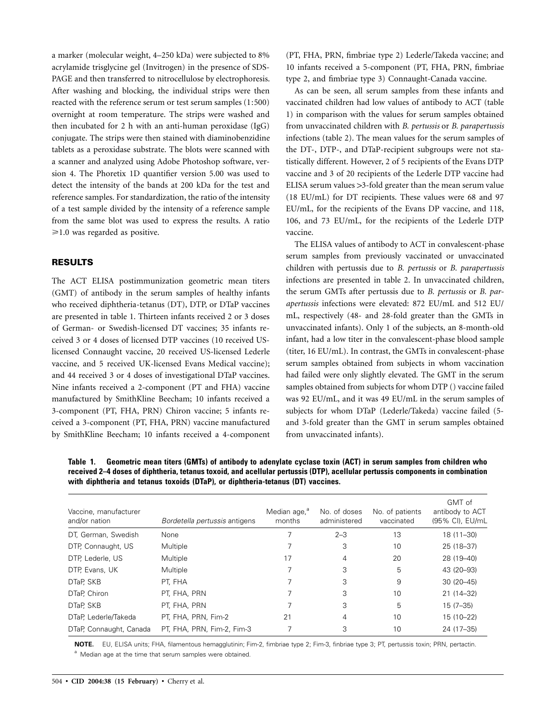a marker (molecular weight, 4–250 kDa) were subjected to 8% acrylamide trisglycine gel (Invitrogen) in the presence of SDS-PAGE and then transferred to nitrocellulose by electrophoresis. After washing and blocking, the individual strips were then reacted with the reference serum or test serum samples (1:500) overnight at room temperature. The strips were washed and then incubated for 2 h with an anti-human peroxidase (IgG) conjugate. The strips were then stained with diaminobenzidine tablets as a peroxidase substrate. The blots were scanned with a scanner and analyzed using Adobe Photoshop software, version 4. The Phoretix 1D quantifier version 5.00 was used to detect the intensity of the bands at 200 kDa for the test and reference samples. For standardization, the ratio of the intensity of a test sample divided by the intensity of a reference sample from the same blot was used to express the results. A ratio  $\geq 1.0$  was regarded as positive.

## **RESULTS**

The ACT ELISA postimmunization geometric mean titers (GMT) of antibody in the serum samples of healthy infants who received diphtheria-tetanus (DT), DTP, or DTaP vaccines are presented in table 1. Thirteen infants received 2 or 3 doses of German- or Swedish-licensed DT vaccines; 35 infants received 3 or 4 doses of licensed DTP vaccines (10 received USlicensed Connaught vaccine, 20 received US-licensed Lederle vaccine, and 5 received UK-licensed Evans Medical vaccine); and 44 received 3 or 4 doses of investigational DTaP vaccines. Nine infants received a 2-component (PT and FHA) vaccine manufactured by SmithKline Beecham; 10 infants received a 3-component (PT, FHA, PRN) Chiron vaccine; 5 infants received a 3-component (PT, FHA, PRN) vaccine manufactured by SmithKline Beecham; 10 infants received a 4-component (PT, FHA, PRN, fimbriae type 2) Lederle/Takeda vaccine; and 10 infants received a 5-component (PT, FHA, PRN, fimbriae type 2, and fimbriae type 3) Connaught-Canada vaccine.

As can be seen, all serum samples from these infants and vaccinated children had low values of antibody to ACT (table 1) in comparison with the values for serum samples obtained from unvaccinated children with *B. pertussis* or *B. parapertussis* infections (table 2). The mean values for the serum samples of the DT-, DTP-, and DTaP-recipient subgroups were not statistically different. However, 2 of 5 recipients of the Evans DTP vaccine and 3 of 20 recipients of the Lederle DTP vaccine had ELISA serum values  $>3$ -fold greater than the mean serum value (18 EU/mL) for DT recipients. These values were 68 and 97 EU/mL, for the recipients of the Evans DP vaccine, and 118, 106, and 73 EU/mL, for the recipients of the Lederle DTP vaccine.

The ELISA values of antibody to ACT in convalescent-phase serum samples from previously vaccinated or unvaccinated children with pertussis due to *B. pertussis* or *B. parapertussis* infections are presented in table 2. In unvaccinated children, the serum GMTs after pertussis due to *B. pertussis* or *B. parapertussis* infections were elevated: 872 EU/mL and 512 EU/ mL, respectively (48- and 28-fold greater than the GMTs in unvaccinated infants). Only 1 of the subjects, an 8-month-old infant, had a low titer in the convalescent-phase blood sample (titer, 16 EU/mL). In contrast, the GMTs in convalescent-phase serum samples obtained from subjects in whom vaccination had failed were only slightly elevated. The GMT in the serum samples obtained from subjects for whom DTP () vaccine failed was 92 EU/mL, and it was 49 EU/mL in the serum samples of subjects for whom DTaP (Lederle/Takeda) vaccine failed (5 and 3-fold greater than the GMT in serum samples obtained from unvaccinated infants).

**Table 1. Geometric mean titers (GMTs) of antibody to adenylate cyclase toxin (ACT) in serum samples from children who received 2–4 doses of diphtheria, tetanus toxoid, and acellular pertussis (DTP), acellular pertussis components in combination with diphtheria and tetanus toxoids (DTaP), or diphtheria-tetanus (DT) vaccines.**

| Vaccine, manufacturer<br>and/or nation | Bordetella pertussis antigens | Median age, <sup>"</sup><br>months | No. of doses<br>administered | No. of patients<br>vaccinated | GMT of<br>antibody to ACT<br>(95% CI), EU/mL |
|----------------------------------------|-------------------------------|------------------------------------|------------------------------|-------------------------------|----------------------------------------------|
| DT, German, Swedish                    | <b>None</b>                   |                                    | $2 - 3$                      | 13                            | $18(11 - 30)$                                |
| DTP, Connaught, US                     | Multiple                      |                                    | 3                            | 10                            | 25 (18-37)                                   |
| DTP, Lederle, US                       | Multiple                      | 17                                 | 4                            | 20                            | 28 (19-40)                                   |
| DTP, Evans, UK                         | Multiple                      |                                    | 3                            | 5                             | 43 (20-93)                                   |
| DTaP, SKB                              | PT. FHA                       |                                    | 3                            | 9                             | $30(20-45)$                                  |
| DTaP, Chiron                           | PT, FHA, PRN                  |                                    | 3                            | 10                            | $21(14-32)$                                  |
| DTaP, SKB                              | PT, FHA, PRN                  |                                    | 3                            | 5                             | $15(7-35)$                                   |
| DTaP, Lederle/Takeda                   | PT, FHA, PRN, Fim-2           | 21                                 | 4                            | 10                            | 15 (10-22)                                   |
| DTaP, Connaught, Canada                | PT, FHA, PRN, Fim-2, Fim-3    |                                    | 3                            | 10                            | 24 (17-35)                                   |

**NOTE.** EU, ELISA units; FHA, filamentous hemagglutinin; Fim-2, fimbriae type 2; Fim-3, finbriae type 3; PT, pertussis toxin; PRN, pertactin. <sup>a</sup> Median age at the time that serum samples were obtained.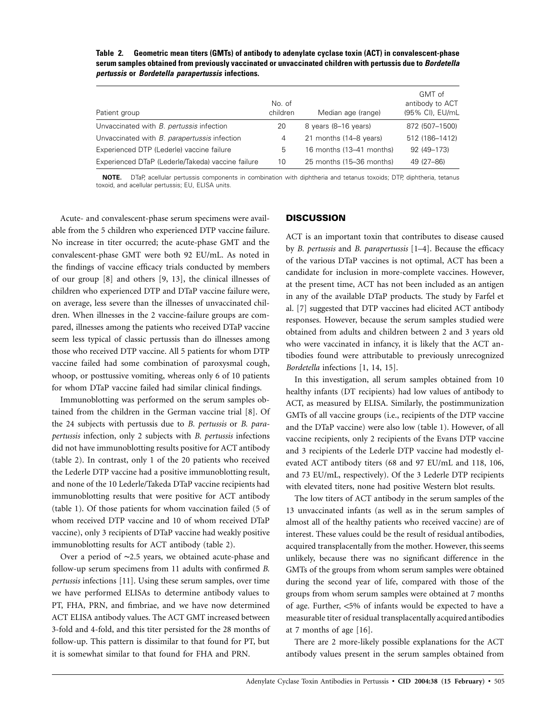**Table 2. Geometric mean titers (GMTs) of antibody to adenylate cyclase toxin (ACT) in convalescent-phase serum samples obtained from previously vaccinated or unvaccinated children with pertussis due to** *Bordetella pertussis* **or** *Bordetella parapertussis* **infections.**

| Patient group                                     | No. of<br>children | Median age (range)       | GMT of<br>antibody to ACT<br>(95% CI), EU/mL |
|---------------------------------------------------|--------------------|--------------------------|----------------------------------------------|
| Unvaccinated with <i>B. pertussis</i> infection   | 20                 | 8 years (8-16 years)     | 872 (507-1500)                               |
| Unvaccinated with B. parapertussis infection      | 4                  | 21 months (14–8 years)   | 512 (186-1412)                               |
| Experienced DTP (Lederle) vaccine failure         | 5                  | 16 months (13-41 months) | 92 (49-173)                                  |
| Experienced DTaP (Lederle/Takeda) vaccine failure | 10                 | 25 months (15-36 months) | 49 (27-86)                                   |

**NOTE.** DTaP, acellular pertussis components in combination with diphtheria and tetanus toxoids; DTP, diphtheria, tetanus toxoid, and acellular pertussis; EU, ELISA units.

Acute- and convalescent-phase serum specimens were available from the 5 children who experienced DTP vaccine failure. No increase in titer occurred; the acute-phase GMT and the convalescent-phase GMT were both 92 EU/mL. As noted in the findings of vaccine efficacy trials conducted by members of our group [8] and others [9, 13], the clinical illnesses of children who experienced DTP and DTaP vaccine failure were, on average, less severe than the illnesses of unvaccinated children. When illnesses in the 2 vaccine-failure groups are compared, illnesses among the patients who received DTaP vaccine seem less typical of classic pertussis than do illnesses among those who received DTP vaccine. All 5 patients for whom DTP vaccine failed had some combination of paroxysmal cough, whoop, or posttussive vomiting, whereas only 6 of 10 patients for whom DTaP vaccine failed had similar clinical findings.

Immunoblotting was performed on the serum samples obtained from the children in the German vaccine trial [8]. Of the 24 subjects with pertussis due to *B. pertussis* or *B. parapertussis* infection, only 2 subjects with *B. pertussis* infections did not have immunoblotting results positive for ACT antibody (table 2). In contrast, only 1 of the 20 patients who received the Lederle DTP vaccine had a positive immunoblotting result, and none of the 10 Lederle/Takeda DTaP vaccine recipients had immunoblotting results that were positive for ACT antibody (table 1). Of those patients for whom vaccination failed (5 of whom received DTP vaccine and 10 of whom received DTaP vaccine), only 3 recipients of DTaP vaccine had weakly positive immunoblotting results for ACT antibody (table 2).

Over a period of ∼2.5 years, we obtained acute-phase and follow-up serum specimens from 11 adults with confirmed *B. pertussis* infections [11]. Using these serum samples, over time we have performed ELISAs to determine antibody values to PT, FHA, PRN, and fimbriae, and we have now determined ACT ELISA antibody values. The ACT GMT increased between 3-fold and 4-fold, and this titer persisted for the 28 months of follow-up. This pattern is dissimilar to that found for PT, but it is somewhat similar to that found for FHA and PRN.

## **DISCUSSION**

ACT is an important toxin that contributes to disease caused by *B. pertussis* and *B. parapertussis* [1–4]. Because the efficacy of the various DTaP vaccines is not optimal, ACT has been a candidate for inclusion in more-complete vaccines. However, at the present time, ACT has not been included as an antigen in any of the available DTaP products. The study by Farfel et al. [7] suggested that DTP vaccines had elicited ACT antibody responses. However, because the serum samples studied were obtained from adults and children between 2 and 3 years old who were vaccinated in infancy, it is likely that the ACT antibodies found were attributable to previously unrecognized *Bordetella* infections [1, 14, 15].

In this investigation, all serum samples obtained from 10 healthy infants (DT recipients) had low values of antibody to ACT, as measured by ELISA. Similarly, the postimmunization GMTs of all vaccine groups (i.e., recipients of the DTP vaccine and the DTaP vaccine) were also low (table 1). However, of all vaccine recipients, only 2 recipients of the Evans DTP vaccine and 3 recipients of the Lederle DTP vaccine had modestly elevated ACT antibody titers (68 and 97 EU/mL and 118, 106, and 73 EU/mL, respectively). Of the 3 Lederle DTP recipients with elevated titers, none had positive Western blot results.

The low titers of ACT antibody in the serum samples of the 13 unvaccinated infants (as well as in the serum samples of almost all of the healthy patients who received vaccine) are of interest. These values could be the result of residual antibodies, acquired transplacentally from the mother. However, this seems unlikely, because there was no significant difference in the GMTs of the groups from whom serum samples were obtained during the second year of life, compared with those of the groups from whom serum samples were obtained at 7 months of age. Further, <5% of infants would be expected to have a measurable titer of residual transplacentally acquired antibodies at 7 months of age [16].

There are 2 more-likely possible explanations for the ACT antibody values present in the serum samples obtained from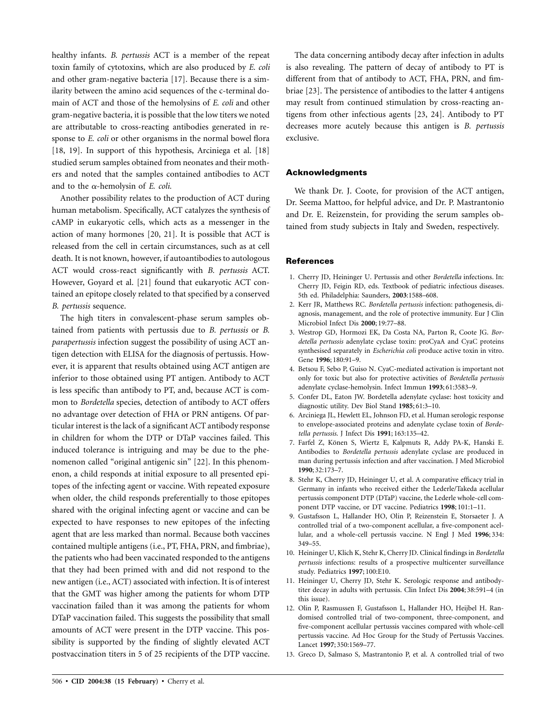healthy infants. *B. pertussis* ACT is a member of the repeat toxin family of cytotoxins, which are also produced by *E. coli* and other gram-negative bacteria [17]. Because there is a similarity between the amino acid sequences of the c-terminal domain of ACT and those of the hemolysins of *E. coli* and other gram-negative bacteria, it is possible that the low titers we noted are attributable to cross-reacting antibodies generated in response to *E. coli* or other organisms in the normal bowel flora [18, 19]. In support of this hypothesis, Arciniega et al. [18] studied serum samples obtained from neonates and their mothers and noted that the samples contained antibodies to ACT and to the a-hemolysin of *E. coli.*

Another possibility relates to the production of ACT during human metabolism. Specifically, ACT catalyzes the synthesis of cAMP in eukaryotic cells, which acts as a messenger in the action of many hormones [20, 21]. It is possible that ACT is released from the cell in certain circumstances, such as at cell death. It is not known, however, if autoantibodies to autologous ACT would cross-react significantly with *B. pertussis* ACT. However, Goyard et al. [21] found that eukaryotic ACT contained an epitope closely related to that specified by a conserved *B. pertussis* sequence.

The high titers in convalescent-phase serum samples obtained from patients with pertussis due to *B. pertussis* or *B. parapertussis* infection suggest the possibility of using ACT antigen detection with ELISA for the diagnosis of pertussis. However, it is apparent that results obtained using ACT antigen are inferior to those obtained using PT antigen. Antibody to ACT is less specific than antibody to PT, and, because ACT is common to *Bordetella* species, detection of antibody to ACT offers no advantage over detection of FHA or PRN antigens. Of particular interest is the lack of a significant ACT antibody response in children for whom the DTP or DTaP vaccines failed. This induced tolerance is intriguing and may be due to the phenomenon called "original antigenic sin" [22]. In this phenomenon, a child responds at initial exposure to all presented epitopes of the infecting agent or vaccine. With repeated exposure when older, the child responds preferentially to those epitopes shared with the original infecting agent or vaccine and can be expected to have responses to new epitopes of the infecting agent that are less marked than normal. Because both vaccines contained multiple antigens (i.e., PT, FHA, PRN, and fimbriae), the patients who had been vaccinated responded to the antigens that they had been primed with and did not respond to the new antigen (i.e., ACT) associated with infection. It is of interest that the GMT was higher among the patients for whom DTP vaccination failed than it was among the patients for whom DTaP vaccination failed. This suggests the possibility that small amounts of ACT were present in the DTP vaccine. This possibility is supported by the finding of slightly elevated ACT postvaccination titers in 5 of 25 recipients of the DTP vaccine.

The data concerning antibody decay after infection in adults is also revealing. The pattern of decay of antibody to PT is different from that of antibody to ACT, FHA, PRN, and fimbriae [23]. The persistence of antibodies to the latter 4 antigens may result from continued stimulation by cross-reacting antigens from other infectious agents [23, 24]. Antibody to PT decreases more acutely because this antigen is *B. pertussis* exclusive.

### **Acknowledgments**

We thank Dr. J. Coote, for provision of the ACT antigen, Dr. Seema Mattoo, for helpful advice, and Dr. P. Mastrantonio and Dr. E. Reizenstein, for providing the serum samples obtained from study subjects in Italy and Sweden, respectively.

#### **References**

- 1. Cherry JD, Heininger U. Pertussis and other *Bordetella* infections. In: Cherry JD, Feigin RD, eds. Textbook of pediatric infectious diseases. 5th ed. Philadelphia: Saunders, **2003**:1588–608.
- 2. Kerr JR, Matthews RC. *Bordetella pertussis* infection: pathogenesis, diagnosis, management, and the role of protective immunity. Eur J Clin Microbiol Infect Dis **2000**; 19:77–88.
- 3. Westrop GD, Hormozi EK, Da Costa NA, Parton R, Coote JG. *Bordetella pertussis* adenylate cyclase toxin: proCyaA and CyaC proteins synthesised separately in *Escherichia coli* produce active toxin in vitro. Gene **1996**; 180:91–9.
- 4. Betsou F, Sebo P, Guiso N. CyaC-mediated activation is important not only for toxic but also for protective activities of *Bordetella pertussis* adenylate cyclase-hemolysin. Infect Immun **1993**; 61:3583–9.
- 5. Confer DL, Eaton JW. Bordetella adenylate cyclase: host toxicity and diagnostic utility. Dev Biol Stand **1985**; 61:3–10.
- 6. Arciniega JL, Hewlett EL, Johnson FD, et al. Human serologic response to envelope-associated proteins and adenylate cyclase toxin of *Bordetella pertussis*. J Infect Dis **1991**; 163:135–42.
- 7. Farfel Z, Könen S, Wiertz E, Kalpmuts R, Addy PA-K, Hanski E. Antibodies to *Bordetella pertussis* adenylate cyclase are produced in man during pertussis infection and after vaccination. J Med Microbiol **1990**; 32:173–7.
- 8. Stehr K, Cherry JD, Heininger U, et al. A comparative efficacy trial in Germany in infants who received either the Lederle/Takeda acellular pertussis component DTP (DTaP) vaccine, the Lederle whole-cell component DTP vaccine, or DT vaccine. Pediatrics **1998**; 101:1–11.
- 9. Gustafsson L, Hallander HO, Olin P, Reizenstein E, Storsaeter J. A controlled trial of a two-component acellular, a five-component acellular, and a whole-cell pertussis vaccine. N Engl J Med **1996**; 334: 349–55.
- 10. Heininger U, Klich K, Stehr K, Cherry JD. Clinical findings in *Bordetella pertussis* infections: results of a prospective multicenter surveillance study. Pediatrics **1997**; 100:E10.
- 11. Heininger U, Cherry JD, Stehr K. Serologic response and antibodytiter decay in adults with pertussis. Clin Infect Dis **2004**; 38:591–4 (in this issue).
- 12. Olin P, Rasmussen F, Gustafsson L, Hallander HO, Heijbel H. Randomised controlled trial of two-component, three-component, and five-component acellular pertussis vaccines compared with whole-cell pertussis vaccine. Ad Hoc Group for the Study of Pertussis Vaccines. Lancet **1997**; 350:1569–77.
- 13. Greco D, Salmaso S, Mastrantonio P, et al. A controlled trial of two